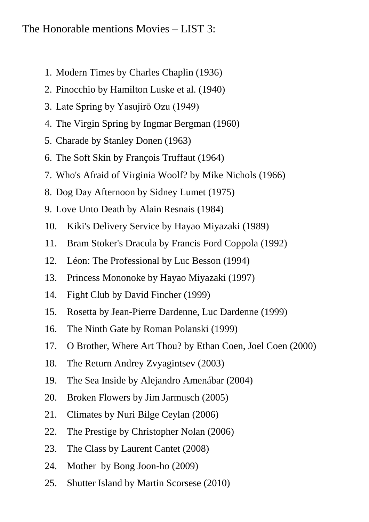## The Honorable mentions Movies – LIST 3:

- 1. Modern Times by Charles Chaplin (1936)
- 2. Pinocchio by Hamilton Luske et al. (1940)
- 3. Late Spring by Yasujirō Ozu (1949)
- 4. The Virgin Spring by Ingmar Bergman (1960)
- 5. Charade by Stanley Donen (1963)
- 6. The Soft Skin by François Truffaut (1964)
- 7. Who's Afraid of Virginia Woolf? by Mike Nichols (1966)
- 8. Dog Day Afternoon by Sidney Lumet (1975)
- 9. Love Unto Death by Alain Resnais (1984)
- 10. Kiki's Delivery Service by Hayao Miyazaki (1989)
- 11. Bram Stoker's Dracula by Francis Ford Coppola (1992)
- 12. Léon: The Professional by Luc Besson (1994)
- 13. Princess Mononoke by Hayao Miyazaki (1997)
- 14. Fight Club by David Fincher (1999)
- 15. Rosetta by Jean-Pierre Dardenne, Luc Dardenne (1999)
- 16. The Ninth Gate by Roman Polanski (1999)
- 17. O Brother, Where Art Thou? by Ethan Coen, Joel Coen (2000)
- 18. The Return Andrey Zvyagintsev (2003)
- 19. The Sea Inside by Alejandro Amenábar (2004)
- 20. Broken Flowers by Jim Jarmusch (2005)
- 21. Climates by Nuri Bilge Ceylan (2006)
- 22. The Prestige by Christopher Nolan (2006)
- 23. The Class by Laurent Cantet (2008)
- 24. Mother by Bong Joon-ho (2009)
- 25. Shutter Island by Martin Scorsese (2010)